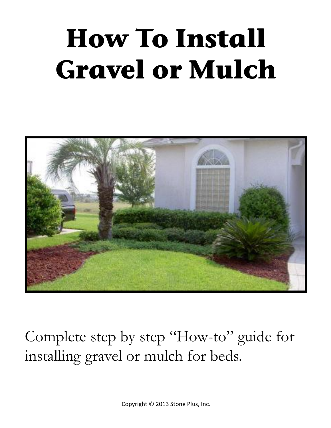# **How To Install Gravel or Mulch**



Complete step by step "How-to" guide for installing gravel or mulch for beds.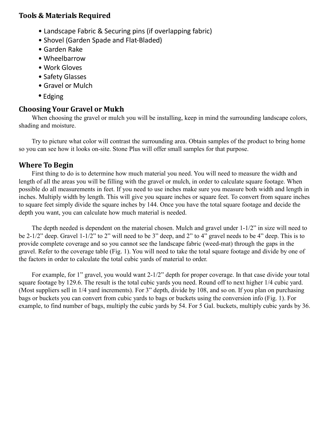### **Tools & Materials Required**

- Landscape Fabric & Securing pins (if overlapping fabric)
- Shovel (Garden Spade and Flat-Bladed)
- Garden Rake
- Wheelbarrow
- Work Gloves
- Safety Glasses
- Gravel or Mulch
- Edging

## **Choosing Your Gravel or Mulch**

When choosing the gravel or mulch you will be installing, keep in mind the surrounding landscape colors, shading and moisture.

Try to picture what color will contrast the surrounding area. Obtain samples of the product to bring home so you can see how it looks on-site. Stone Plus will offer small samples for that purpose.

## **Where To Begin**

First thing to do is to determine how much material you need. You will need to measure the width and length of all the areas you will be filling with the gravel or mulch, in order to calculate square footage. When possible do all measurements in feet. If you need to use inches make sure you measure both width and length in inches. Multiply width by length. This will give you square inches or square feet. To convert from square inches to square feet simply divide the square inches by 144. Once you have the total square footage and decide the depth you want, you can calculate how much material is needed.

The depth needed is dependent on the material chosen. Mulch and gravel under 1-1/2" in size will need to be 2-1/2" deep. Gravel 1-1/2" to 2" will need to be 3" deep, and 2" to 4" gravel needs to be 4" deep. This is to provide complete coverage and so you cannot see the landscape fabric (weed-mat) through the gaps in the gravel. Refer to the coverage table (Fig. 1). You will need to take the total square footage and divide by one of the factors in order to calculate the total cubic yards of material to order.

For example, for 1" gravel, you would want 2-1/2" depth for proper coverage. In that case divide your total square footage by 129.6. The result is the total cubic yards you need. Round off to next higher 1/4 cubic yard. (Most suppliers sell in 1/4 yard increments). For 3" depth, divide by 108, and so on. If you plan on purchasing bags or buckets you can convert from cubic yards to bags or buckets using the conversion info (Fig. 1). For example, to find number of bags, multiply the cubic yards by 54. For 5 Gal. buckets, multiply cubic yards by 36.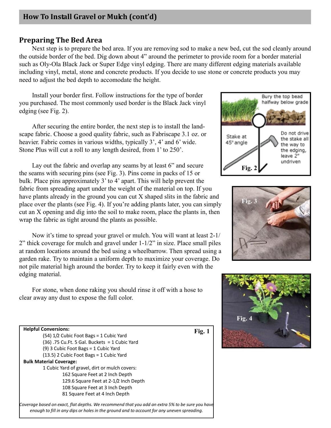#### **Preparing The Bed Area**

Next step is to prepare the bed area. If you are removing sod to make a new bed, cut the sod cleanly around the outside border of the bed. Dig down about 4" around the perimeter to provide room for a border material such as Oly-Ola Black Jack or Super Edge vinyl edging. There are many different edging materials available including vinyl, metal, stone and concrete products. If you decide to use stone or concrete products you may need to adjust the bed depth to accomodate the height.

Install your border first. Follow instructions for the type of border you purchased. The most commonly used border is the Black Jack vinyl edging (see Fig. 2).

After securing the entire border, the next step is to install the landscape fabric. Choose a good quality fabric, such as Fabriscape 3.1 oz. or heavier. Fabric comes in various widths, typically 3', 4' and 6' wide. Stone Plus will cut a roll to any length desired, from 1' to 250'.

Lay out the fabric and overlap any seams by at least 6" and secure the seams with securing pins (see Fig. 3). Pins come in packs of 15 or bulk. Place pins approximately 3' to 4' apart. This will help prevent the fabric from spreading apart under the weight of the material on top. If you have plants already in the ground you can cut X shaped slits in the fabric and place over the plants (see Fig. 4). If you're adding plants later, you can simply cut an X opening and dig into the soil to make room, place the plants in, then wrap the fabric as tight around the plants as possible.

Now it's time to spread your gravel or mulch. You will want at least 2-1/ 2" thick coverage for mulch and gravel under 1-1/2" in size. Place small piles at random locations around the bed using a wheelbarrow. Then spread using a garden rake. Try to maintain a uniform depth to maximize your coverage. Do not pile material high around the border. Try to keep it fairly even with the edging material.

For stone, when done raking you should rinse it off with a hose to clear away any dust to expose the full color.

| <b>Helpful Conversions:</b>                     | Fig. 1 |
|-------------------------------------------------|--------|
| $(54)$ 1/2 Cubic Foot Bags = 1 Cubic Yard       |        |
| $(36)$ .75 Cu.Ft. 5 Gal. Buckets = 1 Cubic Yard |        |
| (9) 3 Cubic Foot Bags = 1 Cubic Yard            |        |
| $(13.5)$ 2 Cubic Foot Bags = 1 Cubic Yard       |        |
| <b>Bulk Material Coverage:</b>                  |        |
| 1 Cubic Yard of gravel, dirt or mulch covers:   |        |
| 162 Square Feet at 2 Inch Depth                 |        |
| 129.6 Square Feet at 2-1/2 Inch Depth           |        |
| 108 Square Feet at 3 Inch Depth                 |        |
| 81 Square Feet at 4 Inch Depth                  |        |

**Fig. 4**







*enough to fill in any dips or holes in the ground and to account for any uneven spreading.*